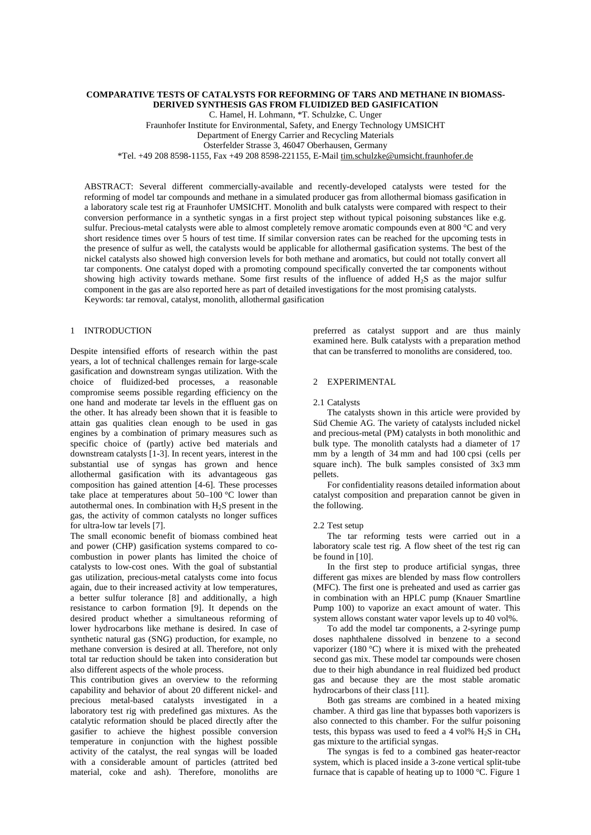## **COMPARATIVE TESTS OF CATALYSTS FOR REFORMING OF TARS AND METHANE IN BIOMASS-DERIVED SYNTHESIS GAS FROM FLUIDIZED BED GASIFICATION**

C. Hamel, H. Lohmann, \*T. Schulzke, C. Unger

Fraunhofer Institute for Environmental, Safety, and Energy Technology UMSICHT

Department of Energy Carrier and Recycling Materials

Osterfelder Strasse 3, 46047 Oberhausen, Germany

\*Tel. +49 208 8598-1155, Fax +49 208 8598-221155, E-Mail [tim.schulzke@umsicht.fraunhofer.de](mailto:tim.schulzke@umsicht.fraunhofer.de)

ABSTRACT: Several different commercially-available and recently-developed catalysts were tested for the reforming of model tar compounds and methane in a simulated producer gas from allothermal biomass gasification in a laboratory scale test rig at Fraunhofer UMSICHT. Monolith and bulk catalysts were compared with respect to their conversion performance in a synthetic syngas in a first project step without typical poisoning substances like e.g. sulfur. Precious-metal catalysts were able to almost completely remove aromatic compounds even at 800 °C and very short residence times over 5 hours of test time. If similar conversion rates can be reached for the upcoming tests in the presence of sulfur as well, the catalysts would be applicable for allothermal gasification systems. The best of the nickel catalysts also showed high conversion levels for both methane and aromatics, but could not totally convert all tar components. One catalyst doped with a promoting compound specifically converted the tar components without showing high activity towards methane. Some first results of the influence of added H<sub>2</sub>S as the major sulfur component in the gas are also reported here as part of detailed investigations for the most promising catalysts. Keywords: tar removal, catalyst, monolith, allothermal gasification

# 1 INTRODUCTION

Despite intensified efforts of research within the past years, a lot of technical challenges remain for large-scale gasification and downstream syngas utilization. With the choice of fluidized-bed processes, a reasonable compromise seems possible regarding efficiency on the one hand and moderate tar levels in the effluent gas on the other. It has already been shown that it is feasible to attain gas qualities clean enough to be used in gas engines by a combination of primary measures such as specific choice of (partly) active bed materials and downstream catalysts [1-3]. In recent years, interest in the substantial use of syngas has grown and hence allothermal gasification with its advantageous gas composition has gained attention [4-6]. These processes take place at temperatures about 50–100 °C lower than autothermal ones. In combination with  $H_2S$  present in the gas, the activity of common catalysts no longer suffices for ultra-low tar levels [7].

The small economic benefit of biomass combined heat and power (CHP) gasification systems compared to cocombustion in power plants has limited the choice of catalysts to low-cost ones. With the goal of substantial gas utilization, precious-metal catalysts come into focus again, due to their increased activity at low temperatures, a better sulfur tolerance [8] and additionally, a high resistance to carbon formation [9]. It depends on the desired product whether a simultaneous reforming of lower hydrocarbons like methane is desired. In case of synthetic natural gas (SNG) production, for example, no methane conversion is desired at all. Therefore, not only total tar reduction should be taken into consideration but also different aspects of the whole process.

This contribution gives an overview to the reforming capability and behavior of about 20 different nickel- and precious metal-based catalysts investigated in a laboratory test rig with predefined gas mixtures. As the catalytic reformation should be placed directly after the gasifier to achieve the highest possible conversion temperature in conjunction with the highest possible activity of the catalyst, the real syngas will be loaded with a considerable amount of particles (attrited bed material, coke and ash). Therefore, monoliths are preferred as catalyst support and are thus mainly examined here. Bulk catalysts with a preparation method that can be transferred to monoliths are considered, too.

# 2 EXPERIMENTAL

### 2.1 Catalysts

The catalysts shown in this article were provided by Süd Chemie AG. The variety of catalysts included nickel and precious-metal (PM) catalysts in both monolithic and bulk type. The monolith catalysts had a diameter of 17 mm by a length of 34 mm and had 100 cpsi (cells per square inch). The bulk samples consisted of 3x3 mm pellets.

For confidentiality reasons detailed information about catalyst composition and preparation cannot be given in the following.

### 2.2 Test setup

The tar reforming tests were carried out in a laboratory scale test rig. A flow sheet of the test rig can be found in [10].

In the first step to produce artificial syngas, three different gas mixes are blended by mass flow controllers (MFC). The first one is preheated and used as carrier gas in combination with an HPLC pump (Knauer Smartline Pump 100) to vaporize an exact amount of water. This system allows constant water vapor levels up to 40 vol%.

To add the model tar components, a 2-syringe pump doses naphthalene dissolved in benzene to a second vaporizer (180 °C) where it is mixed with the preheated second gas mix. These model tar compounds were chosen due to their high abundance in real fluidized bed product gas and because they are the most stable aromatic hydrocarbons of their class [11].

Both gas streams are combined in a heated mixing chamber. A third gas line that bypasses both vaporizers is also connected to this chamber. For the sulfur poisoning tests, this bypass was used to feed a 4 vol%  $H_2S$  in  $CH_4$ gas mixture to the artificial syngas.

The syngas is fed to a combined gas heater-reactor system, which is placed inside a 3-zone vertical split-tube furnace that is capable of heating up to 1000 °C. Figure 1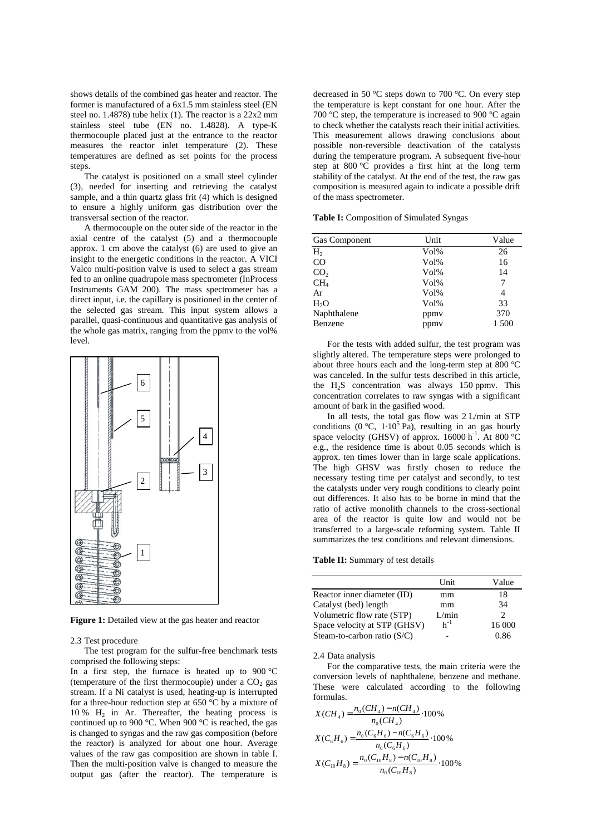shows details of the combined gas heater and reactor. The former is manufactured of a 6x1.5 mm stainless steel (EN steel no. 1.4878) tube helix (1). The reactor is a 22x2 mm stainless steel tube (EN no. 1.4828). A type-K thermocouple placed just at the entrance to the reactor measures the reactor inlet temperature (2). These temperatures are defined as set points for the process steps.

The catalyst is positioned on a small steel cylinder (3), needed for inserting and retrieving the catalyst sample, and a thin quartz glass frit (4) which is designed to ensure a highly uniform gas distribution over the transversal section of the reactor.

A thermocouple on the outer side of the reactor in the axial centre of the catalyst (5) and a thermocouple approx. 1 cm above the catalyst (6) are used to give an insight to the energetic conditions in the reactor. A VICI Valco multi-position valve is used to select a gas stream fed to an online quadrupole mass spectrometer (InProcess Instruments GAM 200). The mass spectrometer has a direct input, i.e. the capillary is positioned in the center of the selected gas stream. This input system allows a parallel, quasi-continuous and quantitative gas analysis of the whole gas matrix, ranging from the ppmv to the vol% level.



**Figure 1:** Detailed view at the gas heater and reactor

#### 2.3 Test procedure

The test program for the sulfur-free benchmark tests comprised the following steps:

In a first step, the furnace is heated up to  $900 \degree C$ (temperature of the first thermocouple) under a  $CO<sub>2</sub>$  gas stream. If a Ni catalyst is used, heating-up is interrupted for a three-hour reduction step at 650 °C by a mixture of 10 % H<sup>2</sup> in Ar. Thereafter, the heating process is continued up to 900 °C. When 900 °C is reached, the gas is changed to syngas and the raw gas composition (before the reactor) is analyzed for about one hour. Average values of the raw gas composition are shown in table I. Then the multi-position valve is changed to measure the output gas (after the reactor). The temperature is

decreased in 50 °C steps down to 700 °C. On every step the temperature is kept constant for one hour. After the 700 °C step, the temperature is increased to 900 °C again to check whether the catalysts reach their initial activities. This measurement allows drawing conclusions about possible non-reversible deactivation of the catalysts during the temperature program. A subsequent five-hour step at 800 °C provides a first hint at the long term stability of the catalyst. At the end of the test, the raw gas composition is measured again to indicate a possible drift of the mass spectrometer.

**Table I:** Composition of Simulated Syngas

| Unit    | Value |
|---------|-------|
| $Vol\%$ | 26    |
| $Vol\%$ | 16    |
| $Vol\%$ | 14    |
| $Vol\%$ | 7     |
| $Vol\%$ | 4     |
| $Vol\%$ | 33    |
| ppmy    | 370   |
| ppmy    | 1 500 |
|         |       |

For the tests with added sulfur, the test program was slightly altered. The temperature steps were prolonged to about three hours each and the long-term step at 800 °C was canceled. In the sulfur tests described in this article, the  $H_2S$  concentration was always 150 ppmv. This concentration correlates to raw syngas with a significant amount of bark in the gasified wood.

In all tests, the total gas flow was 2 L/min at STP conditions (0 °C,  $1 \cdot 10^5$  Pa), resulting in an gas hourly space velocity (GHSV) of approx.  $16000 \text{ h}^{-1}$ . At 800 °C e.g., the residence time is about 0.05 seconds which is approx. ten times lower than in large scale applications. The high GHSV was firstly chosen to reduce the necessary testing time per catalyst and secondly, to test the catalysts under very rough conditions to clearly point out differences. It also has to be borne in mind that the ratio of active monolith channels to the cross-sectional area of the reactor is quite low and would not be transferred to a large-scale reforming system. Table II summarizes the test conditions and relevant dimensions.

**Table II:** Summary of test details

|                               | Unit     | Value  |
|-------------------------------|----------|--------|
| Reactor inner diameter (ID)   | mm       | 18     |
| Catalyst (bed) length         | mm       | 34     |
| Volumetric flow rate (STP)    | L/min    | C      |
| Space velocity at STP (GHSV)  | $h^{-1}$ | 16 000 |
| Steam-to-carbon ratio $(S/C)$ |          | 0.86   |

2.4 Data analysis

For the comparative tests, the main criteria were the conversion levels of naphthalene, benzene and methane. These were calculated according to the following formulas.

$$
X(CH_4) = \frac{n_0(CH_4) - n(CH_4)}{n_0(CH_4)} \cdot 100\%
$$
  

$$
X(C_6H_6) = \frac{n_0(C_6H_6) - n(C_6H_6)}{n_0(C_6H_6)} \cdot 100\%
$$
  

$$
X(C_{10}H_8) = \frac{n_0(C_{10}H_8) - n(C_{10}H_8)}{n_0(C_{10}H_8)} \cdot 100\%
$$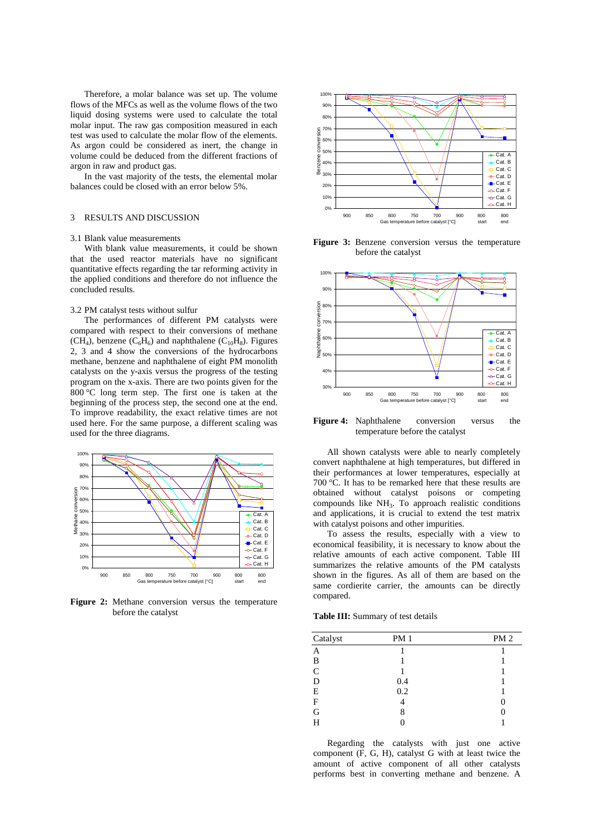Therefore, a molar balance was set up. The volume flows of the MFCs as well as the volume flows of the two liquid dosing systems were used to calculate the total molar input. The raw gas composition measured in each test was used to calculate the molar flow of the elements. As argon could be considered as inert, the change in volume could be deduced from the different fractions of argon in raw and product gas.

In the vast majority of the tests, the elemental molar balances could be closed with an error below 5%.

## 3 RESULTS AND DISCUSSION

#### 3.1 Blank value measurements

With blank value measurements, it could be shown that the used reactor materials have no significant quantitative effects regarding the tar reforming activity in the applied conditions and therefore do not influence the concluded results.

#### 3.2 PM catalyst tests without sulfur

The performances of different PM catalysts were compared with respect to their conversions of methane  $(CH_4)$ , benzene  $(C_6H_6)$  and naphthalene  $(C_{10}H_8)$ . Figures 2, 3 and 4 show the conversions of the hydrocarbons methane, benzene and naphthalene of eight PM monolith catalysts on the y-axis versus the progress of the testing program on the x-axis. There are two points given for the 800 °C long term step. The first one is taken at the beginning of the process step, the second one at the end. To improve readability, the exact relative times are not used here. For the same purpose, a different scaling was used for the three diagrams.



**Figure 2:** Methane conversion versus the temperature before the catalyst



**Figure 3:** Benzene conversion versus the temperature before the catalyst



**Figure 4:** Naphthalene conversion versus the temperature before the catalyst

All shown catalysts were able to nearly completely convert naphthalene at high temperatures, but differed in their performances at lower temperatures, especially at 700 °C. It has to be remarked here that these results are obtained without catalyst poisons or competing compounds like NH<sub>3</sub>. To approach realistic conditions and applications, it is crucial to extend the test matrix with catalyst poisons and other impurities.

To assess the results, especially with a view to economical feasibility, it is necessary to know about the relative amounts of each active component. Table III summarizes the relative amounts of the PM catalysts shown in the figures. As all of them are based on the same cordierite carrier, the amounts can be directly compared.

**Table III:** Summary of test details

| Catalyst     | <b>PM1</b> | PM2 |
|--------------|------------|-----|
| A            |            |     |
| B            |            |     |
| $\mathsf{C}$ |            |     |
| D            | 0.4        |     |
| E            | 0.2        |     |
| $\mathbf{F}$ | 4          | 0   |
| G            | 8          |     |
| H            |            |     |

Regarding the catalysts with just one active component (F, G, H), catalyst G with at least twice the amount of active component of all other catalysts performs best in converting methane and benzene. A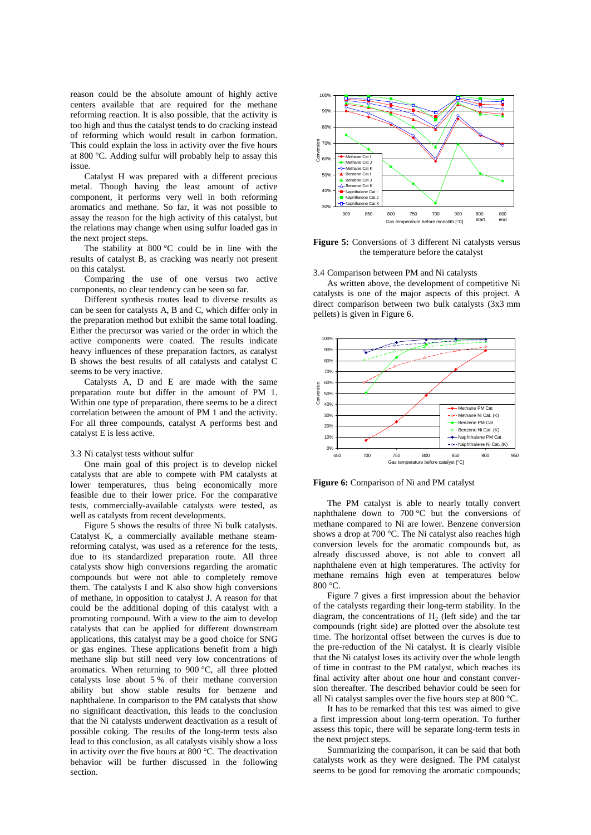reason could be the absolute amount of highly active centers available that are required for the methane reforming reaction. It is also possible, that the activity is too high and thus the catalyst tends to do cracking instead of reforming which would result in carbon formation. This could explain the loss in activity over the five hours at 800 °C. Adding sulfur will probably help to assay this issue.

Catalyst H was prepared with a different precious metal. Though having the least amount of active component, it performs very well in both reforming aromatics and methane. So far, it was not possible to assay the reason for the high activity of this catalyst, but the relations may change when using sulfur loaded gas in the next project steps.

The stability at 800 °C could be in line with the results of catalyst B, as cracking was nearly not present on this catalyst.

Comparing the use of one versus two active components, no clear tendency can be seen so far.

Different synthesis routes lead to diverse results as can be seen for catalysts A, B and C, which differ only in the preparation method but exhibit the same total loading. Either the precursor was varied or the order in which the active components were coated. The results indicate heavy influences of these preparation factors, as catalyst B shows the best results of all catalysts and catalyst C seems to be very inactive.

Catalysts A, D and E are made with the same preparation route but differ in the amount of PM 1. Within one type of preparation, there seems to be a direct correlation between the amount of PM 1 and the activity. For all three compounds, catalyst A performs best and catalyst E is less active.

# 3.3 Ni catalyst tests without sulfur

One main goal of this project is to develop nickel catalysts that are able to compete with PM catalysts at lower temperatures, thus being economically more feasible due to their lower price. For the comparative tests, commercially-available catalysts were tested, as well as catalysts from recent developments.

Figure 5 shows the results of three Ni bulk catalysts. Catalyst K, a commercially available methane steamreforming catalyst, was used as a reference for the tests, due to its standardized preparation route. All three catalysts show high conversions regarding the aromatic compounds but were not able to completely remove them. The catalysts I and K also show high conversions of methane, in opposition to catalyst J. A reason for that could be the additional doping of this catalyst with a promoting compound. With a view to the aim to develop catalysts that can be applied for different downstream applications, this catalyst may be a good choice for SNG or gas engines. These applications benefit from a high methane slip but still need very low concentrations of aromatics. When returning to 900 °C, all three plotted catalysts lose about 5 % of their methane conversion ability but show stable results for benzene and naphthalene. In comparison to the PM catalysts that show no significant deactivation, this leads to the conclusion that the Ni catalysts underwent deactivation as a result of possible coking. The results of the long-term tests also lead to this conclusion, as all catalysts visibly show a loss in activity over the five hours at 800 °C. The deactivation behavior will be further discussed in the following section.



**Figure 5:** Conversions of 3 different Ni catalysts versus the temperature before the catalyst

# 3.4 Comparison between PM and Ni catalysts

As written above, the development of competitive Ni catalysts is one of the major aspects of this project. A direct comparison between two bulk catalysts (3x3 mm pellets) is given in Figure 6.





The PM catalyst is able to nearly totally convert naphthalene down to 700 °C but the conversions of methane compared to Ni are lower. Benzene conversion shows a drop at 700 °C. The Ni catalyst also reaches high conversion levels for the aromatic compounds but, as already discussed above, is not able to convert all naphthalene even at high temperatures. The activity for methane remains high even at temperatures below 800 °C.

Figure 7 gives a first impression about the behavior of the catalysts regarding their long-term stability. In the diagram, the concentrations of  $H_2$  (left side) and the tar compounds (right side) are plotted over the absolute test time. The horizontal offset between the curves is due to the pre-reduction of the Ni catalyst. It is clearly visible that the Ni catalyst loses its activity over the whole length of time in contrast to the PM catalyst, which reaches its final activity after about one hour and constant conversion thereafter. The described behavior could be seen for all Ni catalyst samples over the five hours step at 800 °C.

It has to be remarked that this test was aimed to give a first impression about long-term operation. To further assess this topic, there will be separate long-term tests in the next project steps.

Summarizing the comparison, it can be said that both catalysts work as they were designed. The PM catalyst seems to be good for removing the aromatic compounds;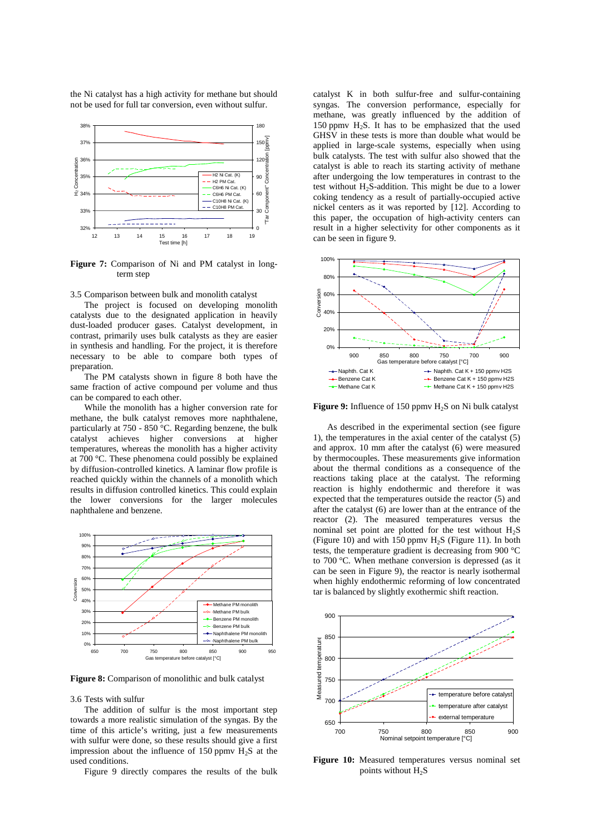the Ni catalyst has a high activity for methane but should not be used for full tar conversion, even without sulfur.



**Figure 7:** Comparison of Ni and PM catalyst in longterm step

3.5 Comparison between bulk and monolith catalyst

The project is focused on developing monolith catalysts due to the designated application in heavily dust-loaded producer gases. Catalyst development, in contrast, primarily uses bulk catalysts as they are easier in synthesis and handling. For the project, it is therefore necessary to be able to compare both types of preparation.

The PM catalysts shown in figure 8 both have the same fraction of active compound per volume and thus can be compared to each other.

While the monolith has a higher conversion rate for methane, the bulk catalyst removes more naphthalene, particularly at 750 - 850 °C. Regarding benzene, the bulk catalyst achieves higher conversions at higher temperatures, whereas the monolith has a higher activity at 700 °C. These phenomena could possibly be explained by diffusion-controlled kinetics. A laminar flow profile is reached quickly within the channels of a monolith which results in diffusion controlled kinetics. This could explain the lower conversions for the larger molecules naphthalene and benzene.



**Figure 8:** Comparison of monolithic and bulk catalyst

#### 3.6 Tests with sulfur

The addition of sulfur is the most important step towards a more realistic simulation of the syngas. By the time of this article's writing, just a few measurements with sulfur were done, so these results should give a first impression about the influence of 150 ppmv  $H_2S$  at the used conditions.

Figure 9 directly compares the results of the bulk

catalyst K in both sulfur-free and sulfur-containing syngas. The conversion performance, especially for methane, was greatly influenced by the addition of 150 ppmv  $H_2S$ . It has to be emphasized that the used GHSV in these tests is more than double what would be applied in large-scale systems, especially when using bulk catalysts. The test with sulfur also showed that the catalyst is able to reach its starting activity of methane after undergoing the low temperatures in contrast to the test without  $H_2S$ -addition. This might be due to a lower coking tendency as a result of partially-occupied active nickel centers as it was reported by [12]. According to this paper, the occupation of high-activity centers can result in a higher selectivity for other components as it can be seen in figure 9.



**Figure 9:** Influence of 150 ppmy H<sub>2</sub>S on Ni bulk catalyst

As described in the experimental section (see figure 1), the temperatures in the axial center of the catalyst (5) and approx. 10 mm after the catalyst (6) were measured by thermocouples. These measurements give information about the thermal conditions as a consequence of the reactions taking place at the catalyst. The reforming reaction is highly endothermic and therefore it was expected that the temperatures outside the reactor (5) and after the catalyst (6) are lower than at the entrance of the reactor (2). The measured temperatures versus the nominal set point are plotted for the test without  $H_2S$ (Figure 10) and with 150 ppmv  $H_2S$  (Figure 11). In both tests, the temperature gradient is decreasing from 900 °C to 700 °C. When methane conversion is depressed (as it can be seen in Figure 9), the reactor is nearly isothermal when highly endothermic reforming of low concentrated tar is balanced by slightly exothermic shift reaction.



**Figure 10:** Measured temperatures versus nominal set points without H<sub>2</sub>S